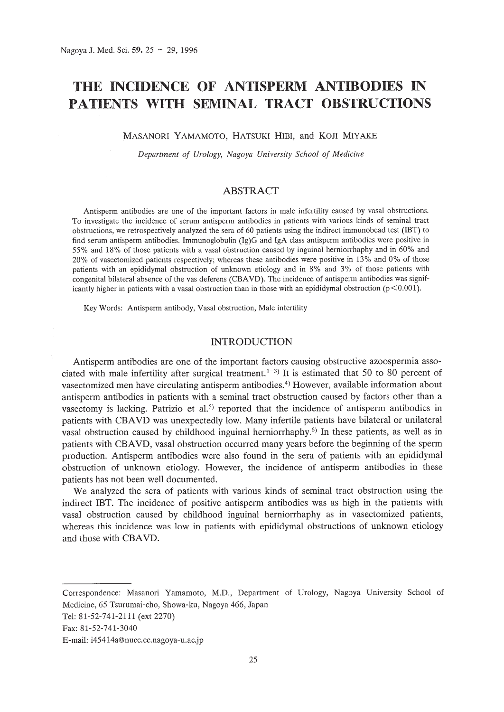# **THE INCIDENCE OF ANTISPERM ANTmODIES IN PATIENTS WITH SEMINAL TRACT OBSTRUCTIONS**

MASANORI YAMAMOTO, HATSUKI HIBI, and KOJI MIYAKE

*Department of Urology, Nagoya University School of Medicine*

## ABSTRACT

Antisperm antibodies are one of the important factors in male infertility caused by vasal obstructions. To investigate the incidence of serum antisperm antibodies in patients with various kinds of seminal tract obstructions, we retrospectively analyzed the sera of 60 patients using the indirect immunobead test (IBT) to find serum antisperm antibodies. Immunoglobulin (Ig)G and IgA class antisperm antibodies were positive in 55% and 18% of those patients with a vasal obstruction caused by inguinal herniorrhaphy and in 60% and 20% of vasectomized patients respectively; whereas these antibodies were positive in 13% and 0% of those patients with an epididymal obstruction of unknown etiology and in 8% and 3% of those patients with congenital bilateral absence of the vas deferens (CBAVD). The incidence of antisperm antibodies was significantly higher in patients with a vasal obstruction than in those with an epididymal obstruction ( $p$ <0.001).

Key Words: Antisperm antibody, Vasal obstruction, Male infertility

## INTRODUCTION

Antisperm antibodies are one of the important factors causing obstructive azoospermia associated with male infertility after surgical treatment.<sup>1-3)</sup> It is estimated that 50 to 80 percent of vasectomized men have circulating antisperm antibodies. 4) However, available information about antisperm antibodies in patients with a seminal tract obstruction caused by factors other than a vasectomy is lacking. Patrizio et al.<sup>5)</sup> reported that the incidence of antisperm antibodies in patients with CBAVD was unexpectedly low. Many infertile patients have bilateral or unilateral vasal obstruction caused by childhood inguinal herniorrhaphy.6) **In** these patients, as well as in patients with CBAVD, vasal obstruction occurred many years before the beginning of the sperm production. Antisperm antibodies were also found in the sera of patients with an epididymal obstruction of unknown etiology. However, the incidence of antisperm antibodies in these patients has not been well documented.

We analyzed the sera of patients with various kinds of seminal tract obstruction using the indirect IBT. The incidence of positive antisperm antibodies was as high in the patients with vasal obstruction caused by childhood inguinal herniorrhaphy as in vasectomized patients, whereas this incidence was low in patients with epididymal obstructions of unknown etiology and those with CBAYD.

Correspondence: Masanori Yamamoto, M.D., Department of Urology, Nagoya University School of Medicine, 65 Tsurumai-cho, Showa-ku, Nagoya 466, Japan

Tel: 81-52-741-2111 (ext 2270)

Fax: 81-52-741-3040

E-mail: i45414a@nucc.cc.nagoya-u.ac.jp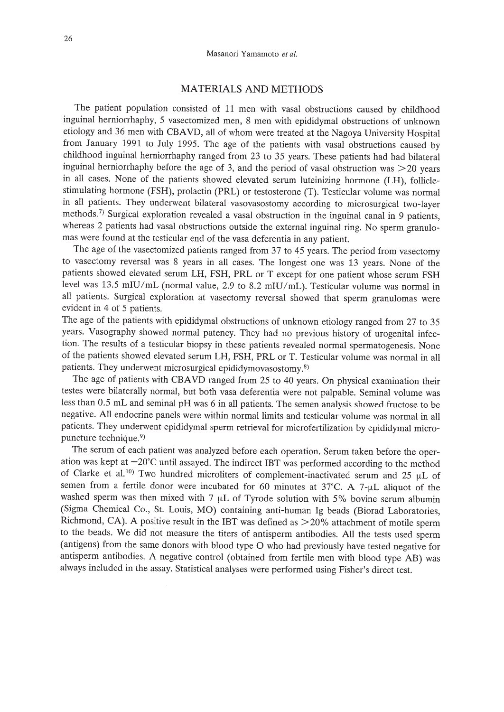# MATERIALS AND METHODS

The patient population consisted of 11 men with vasal obstructions caused by childhood inguinal herniorrhaphy, 5 vasectomized men, 8 men with epididymal obstructions of unknown etiology and 36 men with CBAVD, all of whom were treated at the Nagoya University Hospital from January 1991 to July 1995. The age of the patients with vasal obstructions caused by childhood inguinal herniorrhaphy ranged from 23 to 35 years. These patients had had bilateral inguinal herniorrhaphy before the age of 3, and the period of vasal obstruction was  $>$  20 years in all cases. None of the patients showed elevated serum luteinizing hormone (LH), foIliclestimulating hormone (FSH), prolactin (PRL) or testosterone (T). Testicular volume was normal in all patients. They underwent bilateral vasovasostomy according to microsurgical two-layer methods.<sup>7)</sup> Surgical exploration revealed a vasal obstruction in the inguinal canal in 9 patients, whereas 2 patients had vasal obstructions outside the external inguinal ring. No sperm granulomas were found at the testicular end of the vasa deferentia in any patient.

The age of the vasectomized patients ranged from 37 to 45 years. The period from vasectomy to vasectomy reversal was 8 years in all cases. The longest one was 13 years. None of the patients showed elevated serum LH, FSH, PRL or T except for one patient whose serum FSH level was 13.5 mIU/mL (normal value, 2.9 to 8.2 mIU/mL). Testicular volume was normal in all patients. Surgical exploration at vasectomy reversal showed that sperm granulomas were evident in 4 of 5 patients.

The age of the patients with epididymal obstructions of unknown etiology ranged from 27 to 35 years. Vasography showed normal patency. They had no previous history of urogenital infection. The results of a testicular biopsy in these patients revealed normal spermatogenesis. None of the patients showed elevated serum LH, FSH, PRL or T. Testicular volume was normal in all patients. They underwent microsurgical epididymovasostomy.<sup>8)</sup>

The age of patients with CBAVD ranged from 25 to 40 years. On physical examination their testes were bilaterally normal, but both vasa deferentia were not palpable. Seminal volume was less than 0.5 mL and seminal pH was 6 in all patients. The semen analysis showed fructose to be negative. All endocrine panels were within normal limits and testicular volume was normal in all patients. They underwent epididymal sperm retrieval for microfertilization by epididymal micropuncture technique. 9)

The serum of each patient was analyzed before each operation. Serum taken before the operation was kept at  $-20^{\circ}$ C until assayed. The indirect IBT was performed according to the method of Clarke et al.<sup>10)</sup> Two hundred microliters of complement-inactivated serum and 25  $\mu$ L of semen from a fertile donor were incubated for 60 minutes at  $37^{\circ}$ C. A  $7$ - $\mu$ L aliquot of the washed sperm was then mixed with 7  $\mu$ L of Tyrode solution with 5% bovine serum albumin (Sigma Chemical Co., St. Louis, MO) containing anti-human Ig beads (Biorad Laboratories, Richmond, CA). A positive result in the IBT was defined as  $>20\%$  attachment of motile sperm to the beads. We did not measure the titers of antisperm antibodies. All the tests used sperm (antigens) from the same donors with blood type  $O$  who had previously have tested negative for antisperm antibodies. A negative control (obtained from fertile men with blood type AB) was always included in the assay. Statistical analyses were performed using Fisher's direct test.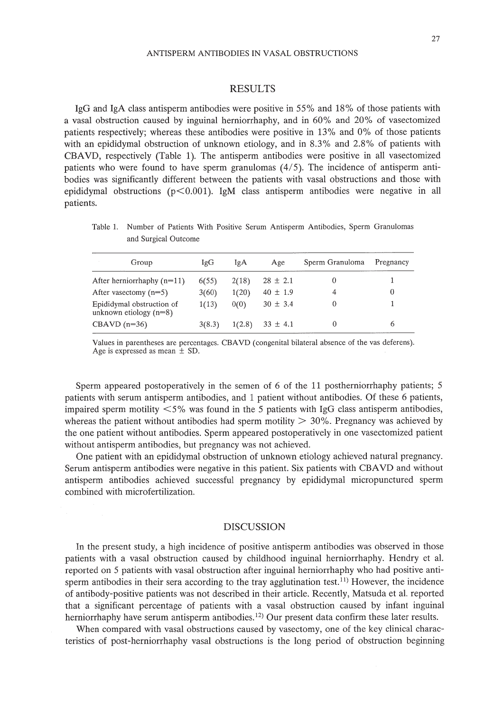## RESULTS

IgG and IgA class antisperm antibodies were positive in 55% and 18% of those patients with a vasal obstruction caused by inguinal herniorrhaphy, and in 60% and 20% of vasectomized patients respectively; whereas these antibodies were positive in 13% and 0% of those patients with an epididymal obstruction of unknown etiology, and in 8.3% and 2.8% of patients with CBAVD, respectively (Table 1). The antisperm antibodies were positive in all vasectomized patients who were found to have sperm granulomas (4/5). The incidence of antisperm antibodies was significantly different between the patients with vasal obstructions and those with epididymal obstructions ( $p < 0.001$ ). IgM class antisperm antibodies were negative in all patients.

Table 1. Number of Patients With Positive Serum Antisperm Antibodies, Sperm Granulomas and Surgical Outcome

| Group                                                 | IgG    | IgA    | Age          | Sperm Granuloma | Pregnancy |
|-------------------------------------------------------|--------|--------|--------------|-----------------|-----------|
| After herniorrhaphy $(n=11)$                          | 6(55)  | 2(18)  | $28 \pm 2.1$ | 0               |           |
| After vasectomy $(n=5)$                               | 3(60)  | 1(20)  | $40 \pm 1.9$ | 4               | 0         |
| Epididymal obstruction of<br>unknown etiology $(n=8)$ | 1(13)  | 0(0)   | $30 \pm 3.4$ | 0               |           |
| $CBAVD(n=36)$                                         | 3(8.3) | 1(2.8) | $33 \pm 4.1$ | 0               | 6         |

Values in parentheses are percentages. CBAVD (congenital bilateral absence of the vas deferens). Age is expressed as mean  $\pm$  SD.

Sperm appeared postoperatively in the semen of 6 of the 11 postherniorrhaphy patients; 5 patients with serum antisperm antibodies, and 1 patient without antibodies. Of these 6 patients, impaired sperm motility  $\langle 5\%$  was found in the 5 patients with IgG class antisperm antibodies, whereas the patient without antibodies had sperm motility  $> 30\%$ . Pregnancy was achieved by the one patient without antibodies. Sperm appeared postoperatively in one vasectomized patient without antisperm antibodies, but pregnancy was not achieved.

One patient with an epididymal obstruction of unknown etiology achieved natural pregnancy. Serum antisperm antibodies were negative in this patient. Six patients with CBAVD and without antisperm antibodies achieved successful pregnancy by epididymal micropunctured sperm combined with microfertilization.

## DISCUSSION

In the present study, a high incidence of positive antisperm antibodies was observed in those patients with a vasal obstruction caused by childhood inguinal herniorrhaphy. Hendry et al. reported on 5 patients with vasal obstruction after inguinal herniorrhaphy who had positive antisperm antibodies in their sera according to the tray agglutination test.<sup>11)</sup> However, the incidence of antibody-positive patients was not described in their article. Recently, Matsuda et al. reported that a significant percentage of patients with a vasal obstruction caused by infant inguinal herniorrhaphy have serum antisperm antibodies.<sup>12)</sup> Our present data confirm these later results.

When compared with vasal obstructions caused by vasectomy, one of the key clinical characteristics of post-herniorrhaphy vasal obstructions is the long period of obstruction beginning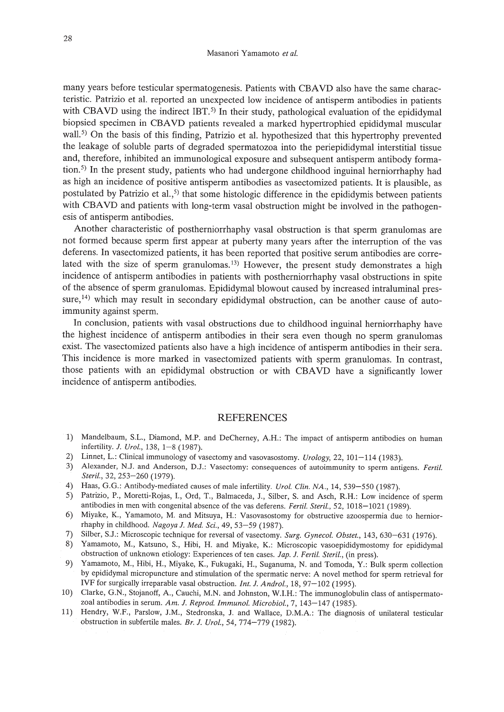many years before testicular spermatogenesis. Patients with CBAVD also have the same characteristic. Patrizio et al. reported an unexpected low incidence of antisperm antibodies in patients with CBAVD using the indirect IBT.<sup>5)</sup> In their study, pathological evaluation of the epididymal biopsied specimen in CBAVD patients revealed a marked hypertrophied epididymal muscular wall.<sup>5)</sup> On the basis of this finding, Patrizio et al. hypothesized that this hypertrophy prevented the leakage of soluble parts of degraded spermatozoa into the periepididymal interstitial tissue and, therefore, inhibited an immunological exposure and subsequent antisperm antibody formation.5) In the present study, patients who had undergone childhood inguinal herniorrhaphy had as high an incidence of positive antisperm antibodies as vasectomized patients. It is plausible, as postulated by Patrizio et al.,<sup>5)</sup> that some histologic difference in the epididymis between patients with CBAVD and patients with long-term vasal obstruction might be involved in the pathogenesis of antisperm antibodies.

Another characteristic of postherniorrhaphy vasal obstruction is that sperm granulomas are not formed because sperm first appear at puberty many years after the interruption of the vas deferens. In vasectomized patients, it has been reported that positive serum antibodies are correlated with the size of sperm granulomas.<sup>13)</sup> However, the present study demonstrates a high incidence of antisperm antibodies in patients with postherniorrhaphy vasal obstructions in spite of the absence of sperm granulomas. Epididymal blowout caused by increased intraluminal pressure,<sup>14)</sup> which may result in secondary epididymal obstruction, can be another cause of autoimmunity against sperm.

In conclusion, patients with vasal obstructions due to childhood inguinal herniorrhaphy have the highest incidence of antisperm antibodies in their sera even though no sperm granulomas exist. The vasectomized patients also have a high incidence of antisperm antibodies in their sera. This incidence is more marked in vasectomized patients with sperm granulomas. In contrast, those patients with an epididymal obstruction or with CBAVD have a significantly lower incidence of antisperm antibodies.

#### REFERENCES

- 1) Mandelbaum, S.L., Diamond, M.P. and DeCherney, AH.: The impact of antisperm antibodies on human infertility. *l. Urol.,* 138, 1-8 (1987).
- 2) Linnet, L.: Clinical immunology of vasectomy and vasovasostomy. *Urology,* 22, 101-114 (1983).
- 3) Alexander, N.J. and Anderson, D.1.: Vasectomy: consequences of autoimmunity to sperm antigens. *Fertil. Steril.,* 32, 253-260 (1979).
- 4) Haas, G.G.: Antibody-mediated causes of male infertility. *Urol. Clin. NA.,* 14,539-550 (1987).
- 5) Patrizio, P., Moretti-Rojas, 1., Ord, T., Balmaceda, J., Silber, S. and Asch, R.H.: Low incidence of sperm antibodies in men with congenital absence of the vas deferens. *Ferti!. Steril.,* 52,1018-1021 (1989).
- 6) Miyake, K., Yamamoto, M. and Mitsuya, H.: Vasovasostomy for obstructive azoospermia due to herniorrhaphy in childhood. *Nagoya l. Med. Sci.,* 49, 53-59 (1987).
- 7) Silber, S.1.: Microscopic technique for reversal of vasectomy. *Surg. Gynecol. Obstet.,* 143,630-631 (1976).
- 8) Yamamoto, M., Katsuno, S., Hibi, H. and Miyake, K.: Microscopic vasoepididymostomy for epididymal obstruction of unknown etiology: Experiences of ten cases. *lap. l. Ferti!. Steri/.,* (in press).
- 9) Yamamoto, M., Hibi, H., Miyake, K., Fukugaki, H., Suganuma, N. and Tomoda, Y.: Bulk sperm collection by epididymal micropuncture and stimulation of the spermatic nerve: A novel method for sperm retrieval for IVF for surgically irreparable vasal obstruction. *Int. l. Androl.,* 18,97-102 (1995).
- 10) Clarke, G.N., Stojanoff, A, Cauchi, M.N. and Johnston, W.I.H.: The immunoglobulin class of antispermatozoal antibodies in serum. *Am. l. Reprod. Immunol. Microbiol.,* 7,143-147 (1985).
- 11) Hendry, W.F., Parslow, J.M., Stedronska, J. and Wallace, D.M.A: The diagnosis of unilateral testicular obstruction in subfertile males. *Br. l. Urol.,* 54, 774-779 (1982).